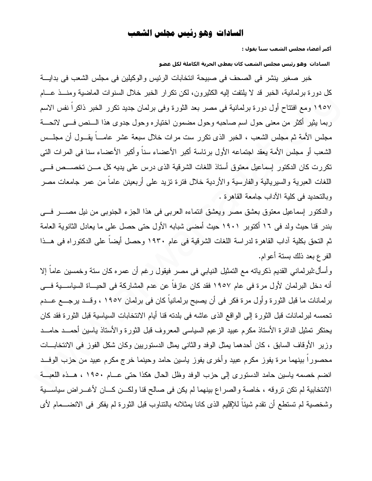## السادات وهو رئيس مجلس الشعب

أكبر أعضاء مجلس الشعب سناً يقول :

السادات وهو رئيس مجلس الشعب كان يعطي الحرية الكاملة لكل عضو

خبر صغير ينشر في الصحف في صبيحة انتخابات الرئيس والوكيلين في مجلس الشعب في بدايــــة كل دورة برلمانية، الخبر قد لا يلتفت إليه الكثيرون، لكن نكرار الخبر خلال السنوات الماضية ومنـــذ عـــام ١٩٥٧ ومع افتتاح أول دورة برلمانية في مصر بعد الثورة وفي برلمان جديد تكرر الخبر ذاكرا نفس الاسم ربما بِثيرٍ أكثرٍ من معنى حول اسم صاحبه وحول مضمون اختياره وحول جدوى هذا السنص فسي لائحـــة مجلس الأمة ثم مجلس الشعب ، الخبر الذي نكرر ست مرات خلال سبعة عشر عامـــاً يقـــول أن مجلـــس الشعب أو مجلس الأمة يعقد اجتماعه الأول برئاسة أكبر الأعضاء سناً وأكبر الأعضاء سنا في المرات التي تكررت كان الدكتور اسماعيل معتوق أستاذ اللغات الشرقية الذي درس على يديه كل مـــن تخصـــص فـــي اللغات العبرية والسبريالية والفارسية والأردية خلال فنرة نزيد على أربعينن عاماً من عمر جامعات مصر وبالتحديد في كلية الآداب جامعة القاهرة .

والدكتور اسماعيل معتوق بعشق مصر ويعشق انتماءه العربي في هذا الجزء الجنوبي من نيل مصــــر فــــي بندر قنا حيث ولد في ١٦ أكتوبر ١٩٠١ حيث أمضى شبابه الأول حتى حصل على ما يعادل الثانوية العامة ثم النحق بكلية آداب القاهرة لدراسة اللغات الشرقية في عام ١٩٣٠ وحصل أيضاً على الدكتوراه في هــذا الفرع بعد ذلك بستة أعوام.

و أسأل:لبرلماني القديم ذكرياته مع التمثيل النيابي في مصر فيقول رغم أن عمره كان ستة وخمسين عاما إلا أنه دخل البرلمان لأول مرة في عام ١٩٥٧ فقد كان عازفاً عن عدم المشاركة في الحيـــاة السياســـية فـــي برلمانات ما قبل الثورة وأول مرة فكر في أن يصبح برلمانياً كان في برلمان ١٩٥٧ ، وقــد يرجـــع عـــدم تحمسه لبرلمانات قبل الثورة إلى الواقع الذي عاشه في بلدته قنا أيام الانتخابات السياسية قبل الثورة فقد كان يحتكر تمثيل الدائرة الأستاذ مكرم عبيد الزعيم السياسي المعروف قبل الثورة والأستاذ ياسين أحمـــد حامـــد وزير الأوقاف السابق ، كان أحدهما بمثل الوفد والثانبي بمثل الدستوريين وكان شكل الفوز في الانتخابـــات محصورا بينهما مرة يفوز مكرم عبيد وأخرى يفوز ياسين حامد وحينما خرج مكرم عبيد من حزب الوفــد انضم خصمه باسين حامد الدستوري إلى حزب الوفد وظل الحال هكذا حتى عــام ١٩٥٠ ، هــذه اللعبــة الانتخابية لم تكن تروقه ، خاصة والصراع بينهما لم يكن في صالح قنا ولكــن كـــان لأغـــراض سياســـية وشخصية لم تستطع أن نقدم شيئا للإقليم الذي كانا يمثلانه بالنتاوب قبل الثورة لم يفكر في الانضـــمام لأي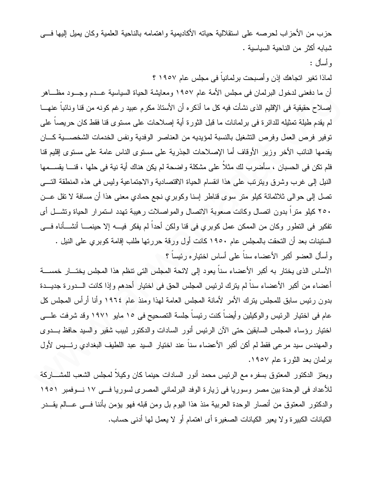حزب من الأحز اب لحر صه على استقلالية حياته الأكاديمية و اهتمامه بالناحية العلمية وكان يميل إليها فـــى شبابه أكثر من الناحية السياسية .

و أسأل :

لماذا تغير اتجاهك إذن وأصبحت برلمانياً في مجلس عام ١٩٥٧ ؟

أن ما دفعني لدخول البرلمان في مجلس الأمة عام ١٩٥٧ ومعايشة الحياة السياسية عــدم وجـــود مظــــاهر إصلاح حقيقية في الإقليم الذي نشأت فيه كل ما أذكره أن الأستاذ مكرم عبيد رغم كونه من قنا ونائباً عنهــا لم يقدم طيلة تمثيله للدائرة في برلمانات ما قبل الثورة أية إصلاحات على مستوى قنا فقط كان حريصاً على توفير فرص العمل وفرص التشغيل بالنسبة لمؤيديه من العناصر الوفدية ونفس الخدمات الشخصــــية كــــان يقدمها النائب الأخر وزير الأوقاف أما الإصلاحات الجذرية على مستوى الناس عامة على مستوى إقليم قنا فلم نكن في الحسبان ، سأضرب لك مثلاً على مشكلة واضحة لم يكن هناك أية نية في حلها ، قنـــا يقســـمها النيل إلى غرب وشرق ويترتب على هذا انقسام الحياة الاقتصادية والاجتماعية وليس في هذه المنطقة التسي تصل إلى حوالي ثلاثمائة كيلو متر سوى قناطر إسنا وكوبري نجع حمادي معنى هذا أن مسافة لا تقل عـــن ٢٥٠ كيلو متراً بدون اتصال وكانت صعوبة الاتصال والمواصلات رهيبة تهدد استمرار الحياة وتشـــل أي تفكير في التطور وكان من الممكن عمل كوبري في قنا ولكن أحداً لم يفكر فيــــه إلا حينمــــا أنشــــأنـاه فــــي الستينات بعد أن التحقت بالمجلس عام ١٩٥٠ كانت أول ورقة حررتها طلب إقامة كوبري على النيل . و أسأل العضو أكبر الأعضاء سناً على أساس اختيار ه رئيساً ؟

الأساس الذي يختار به أكبر الأعضاء سناً يعود إلى لائحة المجلس التي تنظم هذا المجلس يختـــار خمســـة أعضاء من أكبر الأعضاء سناً لم يترك لرئيس المجلس الحق في اختيار أحدهم وإذا كانت الـــدورة جديـــدة بدون رئيس سابق للمجلس بِترك الأمر لأمانة المجلس العامة لهذا ومنذ عام ١٩٦٤ وأنا أرأس المجلس كل عام في اختيار الرئيس والوكيلين وأيضاً كنت رئيساً جلسة التصحيح في ١٥ مايو ١٩٧١ وقد شرفت علـــي اختيار رؤساء المجلس السابقين حتى الآن الرئيس أنور السادات والدكتور لبيب شقير والسيد حافظ بـــدوى والمهندس سيد مرعى فقط لم أكن أكبر الأعضاء سناً عند اختيار السيد عبد اللطيف البغدادي رئسيس لأول برلمان بعد الثورة عام ١٩٥٧.

ويعتز الدكتور المعتوق بسفره مع الرئيس محمد أنور السادات حينما كان وكيلا لمجلس الشعب للمشــــاركة للأعداد في الوحدة بين مصر وسوريا في زيارة الوفد البرلماني المصرى لسوريا فـــي ١٧ نـــوفمبر ١٩٥١ والدكتور المعتوق من أنصار الوحدة العربية منذ هذا اليوم بل ومن قبله فهو يؤمن بأننا فـــي عـــالم يقـــدر الكيانات الكبيرة ولا يعير الكيانات الصغيرة أي اهتمام أو لا يعمل لها أدنبي حساب.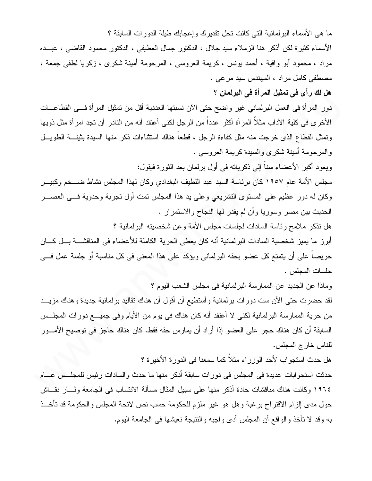ما هي الأسماء البر لمانية التي كانت تحل تقدير ك و إعجابك طبلة الدور ات السابقة ؟ الأسماء كثيرة لكن أذكر ٍ هنا الزملاء سيد جلال ، الدكتور جمال العطيفي ، الدكتور محمود القاضبي ، عبـــده مراد ، محمود أبو وافية ، أحمد بونس ، كريمة العروسي ، المرحومة أمينة شكرى ، زكريا لطفي جمعة ، مصطفى كامل مراد ، المهندس سيد مرعى .

هل لك رأى في تمثيل المرأة في البرلمان ؟

دور المرأة في العمل البرلماني غير واضح حتى الآن نسبتها العددية أقل من تمثيل المرأة فـــي القطاعـــات الأخرى في كلية الآداب مثلاً المرأة أكثر عدداً من الرجل لكني أعتقد أنه من النادر أن تجد امرأة مثل ذويها وتمثَّل القطاع الذي خرجت منه مثل كفاءة الرجل ، فطعاً هناك استثناءات ذكر منها السيدة بثينــــة الطويـــل و المرحومة أمينة شكري والسيدة كريمة العروسي .

ويعود أكبر الأعضاء سناً إلى ذكرياته في أول برلمان بعد الثورة فيقول:

مجلس الأمة عام ١٩٥٧ كان برئاسة السيد عبد اللطيف البغدادي وكان لهذا المجلس نشاط ضـــخم وكبيـــر وكان له دور عظيم على المستوى التشريعي وعلى يد هذا المجلس نمت أول نجربة وحدوية فسي العصـــر الحديث بين مصر وسوريا وأن لم يقدر لها النجاح والاستمرار .

هل نذكر ملامح رئاسة السادات لجلسات مجلس الأمة وعن شخصيته البر لمانية ؟

أبرز ما يميز شخصية السادات البرلمانية أنه كان يعطي الحرية الكاملة للأعضاء في المناقشــــة بـــل كــــان حريصاً على أن يتمتع كل عضو بحقه البرلماني ويؤكد على هذا المعنى في كل مناسبة أو جلسة عمل فـــي جلسات المجلس .

وماذا عن الجديد عن الممارسة البرلمانية في مجلس الشعب اليوم ؟

لقد حضرت حتى الأن ست دورات برلمانية وأستطيع أن أقول أن هناك نقاليد برلمانية جديدة وهناك مزيـــد من حرية الممارسة البرلمانية لكني لا أعتقد أنه كان هناك في يوم من الأيام وفي جميـــع دورات المجلــس السابقة أن كان هناك حجر ٍ على العضو إذا أر إد أن يمارس حقه فقط. كان هناك حاجز في توضيح الأمـــور للناس خارج المجلس.

هل حدث استجواب لأحد الوزراء مثلاً كما سمعنا في الدورة الأخيرة ؟

حدثت استجوابات عديدة في المجلس في دورات سابقة أذكر منها ما حدث والسادات رئيس للمجلـــس عــــام ١٩٦٤ وكانت هناك مناقشات حادة أذكر منها على سبيل المثال مسألة الانتساب في الجامعة وثـــار نقـــاش حول مدى إلزام الاقتراح برغبة وهل هو غير ملزم للحكومة حسب نص لائحة المجلس والحكومة قد تأخــذ بـه وقد لا نأخذ والواقع أن المـجلس أدى واجبـه والننتيجة نـعيشها فـي الـجامعة اليوم.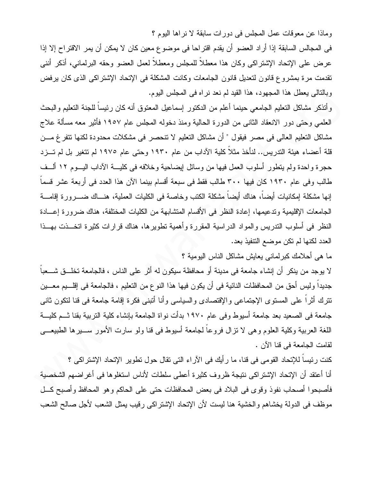وماذا عن معوقات عمل المجلس في دور ات سابقة لا نر اها اليوم ؟

في المجالس السابقة إذا أراد العضو أن يقدم اقتراحا في موضوع معين كان لا يمكن أن يمر الاقتراح إلا إذا عرض على الإنحاد الإشتراكي وكان هذا معطلاً للمجلس ومعطلاً لعمل العضو وحقه البرلماني، أذكر أننبي نقدمت مرة بمشروع قانون لتعديل قانون الجامعات وكانت المشكلة في الإتحاد الإشتراكي الذي كان يرفض وبالتالي يعطل هذا المجهود، هذا القيد لم نعد نراه في المجلس اليوم.

وأنذكر مشاكل النعليم الجامعي حينما أعلم من الدكنور إسماعيل المعنوق أنه كان رئيسا للجنة النعليم والبحث العلمي وحتى دور الانعقاد الثانبي من الدورة الحالية ومنذ دخوله المجلس عام ١٩٥٧ فأثير معه مسألة علاج مشاكل التعليم العالي في مصر فيقول " أن مشاكل التعليم لا تتحصر في مشكلات محدودة لكنها تتفرغ مـــن قلة أعضاء هيئة التدريس.. لنأخذ مثلاً كلية الآداب من عام ١٩٣٠ وحتى عام ١٩٧٥ لم تتغير بل لم تـــزد حجرة واحدة ولم يتطور أسلوب العمل فيها من وسائل ليضاحية وخلافه في كليسة الآداب اليسوم ١٢ ألسف طالب وفي عام ١٩٣٠ كان فيها ٣٠٠ طالب فقط في سبعة أقسام بينما الآن هذا العدد في أربعة عشر قسماً إنها مشكلة إمكانيات أيضاً، هناك أيضاً مشكلة الكتب وخاصة في الكليات العملية، هنـــاك ضــــرورة إقامــــة الجامعات الإقليمية وتدعيمها، إعادة النظر في الأقسام المتشابهة من الكليات المختلفة، هناك ضرورة إعسادة النظر في أسلوب التدريس والمواد الدراسية المقررة وأهمية تطويرها، هناك قرارات كثيرة اتخـــذت بهـــذا العدد لكنها لم تكن موضع النتفيذ بعد.

ما هي أحلامك كبرلماني يعايش مشاكل الناس اليومية ؟

لا يوجد من ينكر أن إنشاء جامعة في مدينة أو محافظة سيكون له أثر على الناس ، فالجامعة تخلَّــق شـــعباً جديداً وليس أحق من المحافظات النائية في أن يكون فيها هذا النوع من التعليم ، فالجامعة في إقلـــيم معـــين تترك أثراً على المستوى الإجتماعي والإقتصادي والسياسي وأنا أتبنى فكرة إقامة جامعة في قنا لتكون ثاني جامعة في الصعيد بعد جامعة أسيوط وفي عام ١٩٧٠ بدأت نواة الجامعة بإنشاء كلية التربية بقنا شــم كليـــة اللغة العربية وكلية العلوم وهي لا نز ال فروعاً لجامعة أسيوط في قنا ولو سارت الأمور ســــير ها الطبيعـــي لقامت الجامعة في قنا الآن .

كنت رئيساً للإتحاد القومي في قنا، ما رأيك في الآراء التي تقال حول تطوير الإتحاد الإشتراكي ؟ أنا أعتقد أن الإتحاد الإشتراكي نتيجة ظروف كثيرة أعطى سلطات لأناس استغلوها في أغراضهم الشخصية فأصبحوا أصحاب نفوذ وقوى في البلاد في بعض المحافظات حتى على الحاكم وهو المحافظ وأصبح كـــل موظف في الدولة بخشاهم والخشية هنا ليست لأن الإتحاد الإشتراكي رقيب يمثل الشعب لأجل صالح الشعب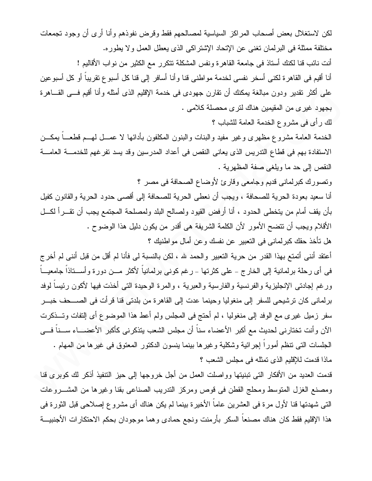لكن لاستغلال بعض أصحاب المراكز السياسية لمصالحهم فقط وقرض نفوذهم وأنا أرى أن وجود تجمعات مختلفة ممثلة في البرلمان تغني عن الإتحاد الإشتراكي الذي يعطل العمل ولا يطوره. أنت نائب قنا لكنك أستاذ في جامعة القاهر ة ونفس المشكلة تتكر رحمع الكثير من نواب الأقاليم ! أنا أقيم في القاهرة لكني أسخر نفسي لخدمة مواطني قنا وأنا أسافر إلى قنا كل أسبوع تقريباً أو كل أسبوعين على أكثر نقدير ودون مبالغة بمكنك أن نقارن جهودي في خدمة الإقليم الذي أمثله وأنا أقيم فسي القـــاهرة بجهود غيري من المقيمين هناك لترى محصلة كلامي . لك رأى في مشروع الخدمة العامة للشباب ؟

الخدمة العامة مشروع مظهري وغير مفيد والبنات والبنون المكلفون بأدائها لا عمـــل لهـــم قطعــــاً بمكـــن الاستفادة بهم في قطاع الندريس الذي يعاني النقص في أعداد المدرسين وقد يسد نفر غهم للخدمــــة العامــــة النقص إلى حد ما ويلغي صفة المظهرية .

وتصورك كبرلماني قديم وجامعي وقارئ لأوضاع الصحافة في مصر ؟

أنا سعيد بعودة الحرية للصحافة ، ويجب أن نعطي الحرية للصحافة إلى أقصبي حدود الحرية والقانون كفيل بأن يقف أمام من يتخطى الحدود ، أنا أرفض القيود ولصالح البلد ولمصلحة المجتمع يجب أن نقـــرأ لكـــل الأقلام ويجب أن نتضح الأمور لأن الكلمة الشريفة هي أقدر من يكون دليل هذا الوضوح . هل نأخذ حقك كبرلماني في التعبير عن نفسك وعن أمال مواطنيك ؟

أعتقد أنني أتمتع بهذا القدر من حرية التعبير والحمد لله ، لكن بالنسبة لي فأنا لم أقل من قبل أنني لم أخرج في أي رحلة برلمانية إلى الخارج – على كثرتها – رغم كوني برلمانياً لأكثر مـــن دورة وأســـتاذاً جامعيـــاً ورغم إجادتي الإنجليزية والفرنسية والفارسية والعبرية ، والمرة الوحيدة التي أخذت فيها لأكون رئيساً لوفد برلماني كان ترشيحي للسفر إلى منغوليا وحينما عدت إلى القاهرة من بلدتي قنا قرأت في الصـــحف خبـــر سفر زميل غير ي مع الوفد إلى منغوليا ، لم أحتج في المجلس ولم أعط هذا الموضوع أي إلتفات وتـــذكرت الآن و أنت تختار نبي لحديث مع أكبر الأعضاء سناً أن مجلس الشعب يتذكر نبي كأكبر الأعضــــاء ســـناً فــــي الْجَلْسَات الَّتِي نَنْظُم أَمُورٍ ا إجرائية وشكلية وغيرها بينما ينسون الدكتور المعتوق في غيرها من المهام . ماذا قدمت للإقليم الذي تمثله في مجلس الشعب ؟

قدمت العديد من الأفكار التي تبنيتها وواصلت العمل من أجل خروجها إلى حيز التنفيذ أذكر لك كوبرى قنا ومصنع الغزل المنوسط ومحلج القطن في قوص ومركز الندريب الصناعي بقنا وغيرها من المشـــروعات التي شهدتها قنا لأول مرة في العشرين عاماً الأخيرة بينما لم يكن هناك أي مشروع إصلاحي قبل الثورة في هذا الإقليم فقط كان هناك مصنعاً السكر بأرمنت ونجع حمادى وهما موجودان بحكم الاحتكارات الأجنبيـــة